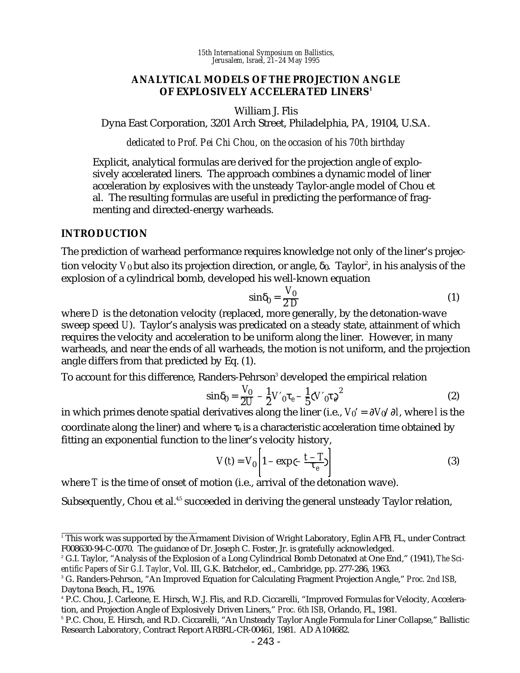*15th International Symposium on Ballistics, Jerusalem, Israel, 21–24 May 1995*

#### **ANALYTICAL MODELS OF THE PROJECTION ANGLE OF EXPLOSIVELY ACCELERATED LINERS<sup>1</sup>**

William J. Flis

Dyna East Corporation, 3201 Arch Street, Philadelphia, PA, 19104, U.S.A.

*dedicated to Prof. Pei Chi Chou, on the occasion of his 70th birthday*

Explicit, analytical formulas are derived for the projection angle of explosively accelerated liners. The approach combines a dynamic model of liner acceleration by explosives with the unsteady Taylor-angle model of Chou et al. The resulting formulas are useful in predicting the performance of fragmenting and directed-energy warheads.

### **INTRODUCTION**

The prediction of warhead performance requires knowledge not only of the liner's projection velocity  $V_0$  but also its projection direction, or angle,  $\delta_0$ . Taylor $^{\circ}$ , in his analysis of the explosion of a cylindrical bomb, developed his well-known equation

$$
\sin \delta_0 = \frac{V_0}{2 D} \tag{1}
$$

where *D* is the detonation velocity (replaced, more generally, by the detonation-wave sweep speed *U*). Taylor's analysis was predicated on a steady state, attainment of which requires the velocity and acceleration to be uniform along the liner. However, in many warheads, and near the ends of all warheads, the motion is not uniform, and the projection angle differs from that predicted by Eq. (1).

To account for this difference, Randers-Pehrson $^{\rm 3}$  developed the empirical relation

$$
\sin \delta_0 = \frac{V_0}{2U} - \frac{1}{2} V'_{0} \tau_e - \frac{1}{5} (V'_{0} \tau_e)^2
$$
 (2)

in which primes denote spatial derivatives along the liner (i.e., *V*0' = ∂*V*0/∂*l*, where *l* is the coordinate along the liner) and where τ*e* is a characteristic acceleration time obtained by fitting an exponential function to the liner's velocity history,

$$
V(t) = V_0 \left| 1 - \exp(-\frac{t - T}{\tau_e}) \right| \tag{3}
$$

where *T* is the time of onset of motion (i.e., arrival of the detonation wave).

Subsequently, Chou et al.<sup>4,5</sup> succeeded in deriving the general unsteady Taylor relation,

 $\frac{1}{1}$ This work was supported by the Armament Division of Wright Laboratory, Eglin AFB, FL, under Contract F008630-94-C-0070. The guidance of Dr. Joseph C. Foster, Jr. is gratefully acknowledged.

<sup>2</sup> G.I. Taylor, "Analysis of the Explosion of a Long Cylindrical Bomb Detonated at One End," (1941), *The Scientific Papers of Sir G.I. Taylor*, Vol. III, G.K. Batchelor, ed., Cambridge, pp. 277-286, 1963.

<sup>3</sup> G. Randers-Pehrson, "An Improved Equation for Calculating Fragment Projection Angle," *Proc. 2nd ISB*, Daytona Beach, FL, 1976.

<sup>4</sup> P.C. Chou, J. Carleone, E. Hirsch, W.J. Flis, and R.D. Ciccarelli, "Improved Formulas for Velocity, Acceleration, and Projection Angle of Explosively Driven Liners," *Proc. 6th ISB*, Orlando, FL, 1981.

<sup>5</sup> P.C. Chou, E. Hirsch, and R.D. Ciccarelli, "An Unsteady Taylor Angle Formula for Liner Collapse," Ballistic Research Laboratory, Contract Report ARBRL-CR-00461, 1981. AD A104682.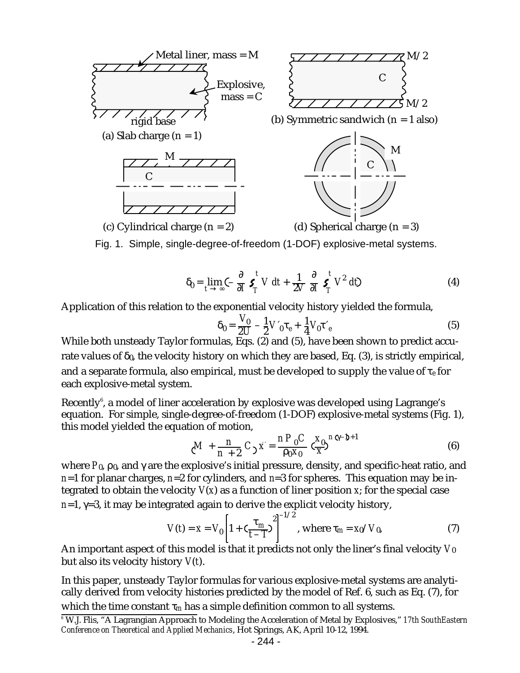

$$
\delta_0 = \lim_{t \to \infty} \left( -\frac{\partial}{\partial I} \, \boldsymbol{S}_T^t \, V \, dt + \frac{1}{2V} \, \frac{\partial}{\partial I} \, \boldsymbol{S}_T^t \, V^2 \, dt \right) \tag{4}
$$

Application of this relation to the exponential velocity history yielded the formula,

$$
\delta_0 = \frac{V_0}{2U} - \frac{1}{2} V'_0 \tau_e + \frac{1}{4} V_0 \tau'_e
$$
 (5)

While both unsteady Taylor formulas, Eqs. (2) and (5), have been shown to predict accurate values of  $\delta_0$ , the velocity history on which they are based, Eq. (3), is strictly empirical, and a separate formula, also empirical, must be developed to supply the value of τ*e* for each explosive-metal system.

Recently<sup>6</sup>, a model of liner acceleration by explosive was developed using Lagrange's equation. For simple, single-degree-of-freedom (1-DOF) explosive-metal systems (Fig. 1), this model yielded the equation of motion,

$$
\zeta M + \frac{n}{n+2} C_2 \ddot{x} = \frac{n P_0 C}{\rho_0 x_0} \zeta \frac{x_0}{x}^{n \zeta - D + 1}
$$
(6)

where  $P_0$ ,  $\rho_0$ , and  $\gamma$  are the explosive's initial pressure, density, and specific-heat ratio, and *n*=1 for planar charges, *n*=2 for cylinders, and *n*=3 for spheres. This equation may be integrated to obtain the velocity *V*(*x*) as a function of liner position *x*; for the special case  $n=1$ ,  $\gamma=3$ , it may be integrated again to derive the explicit velocity history,

$$
V(t) = \dot{x} = V_0 \left[ 1 + \left( \frac{\tau_m}{t - T} \right)^2 \right]^{-1/2}, \text{ where } \tau_m = x_0 / V_0,
$$
 (7)

An important aspect of this model is that it predicts not only the liner's final velocity *V*0 but also its velocity history *V*(*t*).

In this paper, unsteady Taylor formulas for various explosive-metal systems are analytically derived from velocity histories predicted by the model of Ref. 6, such as Eq. (7), for which the time constant  $\tau_m$  has a simple definition common to all systems.

<sup>6</sup> W.J. Flis, "A Lagrangian Approach to Modeling the Acceleration of Metal by Explosives," *17th SouthEastern Conference on Theoretical and Applied Mechanics*, Hot Springs, AK, April 10-12, 1994.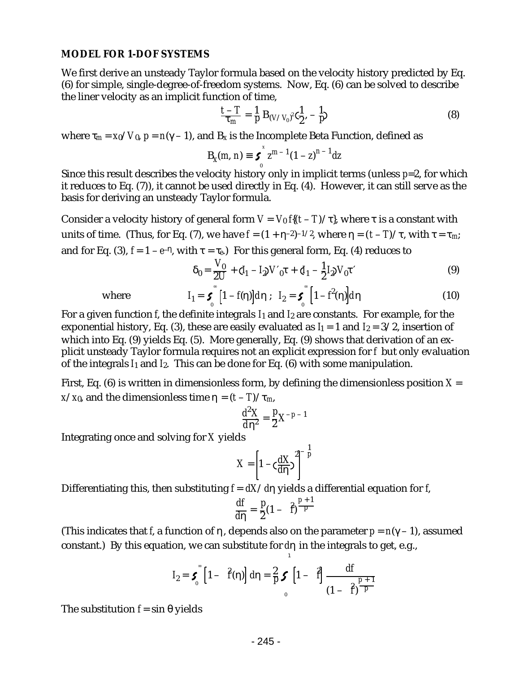#### **MODEL FOR 1-DOF SYSTEMS**

We first derive an unsteady Taylor formula based on the velocity history predicted by Eq. (6) for simple, single-degree-of-freedom systems. Now, Eq. (6) can be solved to describe the liner velocity as an implicit function of time,

$$
\frac{t-T}{\tau_m} = \frac{1}{p} B_{(V/V_0)^2} \zeta_{\frac{1}{2}}^1, -\frac{1}{p} \tag{8}
$$

where  $\tau_m = x_0/V_0$ ,  $p = n(\gamma - 1)$ , and  $B_x$  is the Incomplete Beta Function, defined as

$$
B_x(m, n) \equiv \boldsymbol{S}_0^x z^{m-1} (1 - z)^{n-1} dz
$$

Since this result describes the velocity history only in implicit terms (unless *p*=2, for which it reduces to Eq. (7)), it cannot be used directly in Eq. (4). However, it can still serve as the basis for deriving an unsteady Taylor formula.

Consider a velocity history of general form  $V = V_0 f(t-T)/\tau$ , where  $\tau$  is a constant with units of time. (Thus, for Eq. (7), we have  $f = (1 + \eta^{-2})^{-1/2}$ , where  $\eta = (t - T)/\tau$ , with  $\tau = \tau_m$ ; and for Eq. (3),  $f = 1 - e^{-\eta}$ , with  $\tau = \tau_e$ ) For this general form, Eq. (4) reduces to

$$
\delta_0 = \frac{V_0}{2U} + C_1 - I_2 V_0 \tau + C_1 - \frac{1}{2} I_2 V_0 \tau'
$$
 (9)

where 
$$
I_1 = \boldsymbol{\zeta} \left[1 - f(\eta)\right] d\eta ; \quad I_2 = \boldsymbol{\zeta} \left[1 - f^2(\eta)\right] d\eta \tag{10}
$$

For a given function *f*, the definite integrals *I*1 and *I*2 are constants. For example, for the exponential history, Eq. (3), these are easily evaluated as  $I_1 = 1$  and  $I_2 = 3/2$ , insertion of which into Eq. (9) yields Eq. (5). More generally, Eq. (9) shows that derivation of an explicit unsteady Taylor formula requires not an explicit expression for *f* but only evaluation of the integrals *I*1 and *I*2. This can be done for Eq. (6) with some manipulation.

First, Eq.  $(6)$  is written in dimensionless form, by defining the dimensionless position  $X =$ *x*/*x*<sub>0</sub>, and the dimensionless time  $\eta = (t - T)/\tau_m$ ,

$$
\frac{d^2X}{d\eta^2}=\frac{p}{2}X^{-p-1}
$$

Integrating once and solving for *X* yields

$$
X = \left[1 - \zeta \frac{dX}{d\eta}\right]^2 \bigg]^{-\frac{1}{p}}
$$

Differentiating this, then substituting *f* = *dX*/*d*η yields a differential equation for *f*,

$$
\frac{df}{d\eta} = \frac{p}{2}(1 - \hat{f})^{\frac{p+1}{p}}
$$

(This indicates that *f*, a function of η, depends also on the parameter *p* = *n*(γ – 1), assumed constant.) By this equation, we can substitute for *d*η in the integrals to get, e.g.,

$$
I_2 = \boldsymbol{5}_{0} \left[ 1 - \hat{f}(\eta) \right] d\eta = \frac{2}{p} \boldsymbol{5} \left[ 1 - \hat{f} \right] \frac{df}{(1 - \hat{f})^{\frac{p+1}{p}}}
$$

1

The substitution  $f = \sin \theta$  yields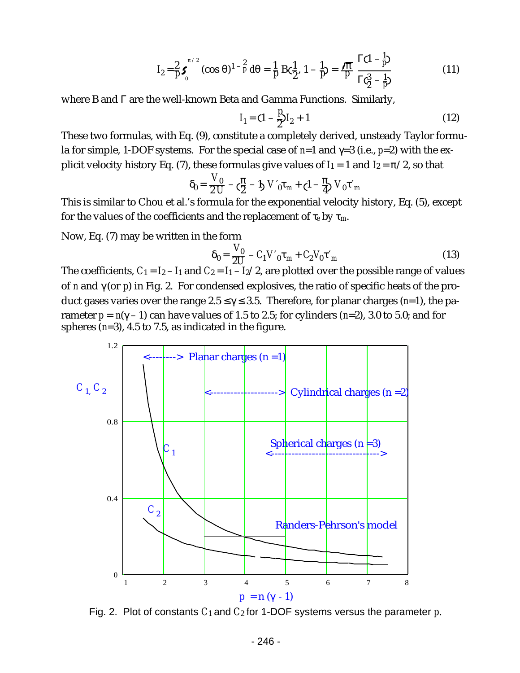$$
I_2 = \frac{2}{p} \, \boldsymbol{5}_{0}^{\pi/2} \, (\cos \theta)^{1-\frac{2}{p}} \, d\theta = \frac{1}{p} \, B \, \zeta \frac{1}{2}, \, 1 - \frac{1}{p} = \frac{\sqrt{\pi}}{p} \, \frac{\Gamma(1-\frac{1}{p})}{\Gamma \, \zeta \frac{3}{2}-\frac{1}{p}} \tag{11}
$$

where B and Γ are the well-known Beta and Gamma Functions. Similarly,

$$
I_1 = \mathbf{C} \mathbf{I} - \frac{P}{2} I_2 + 1 \tag{12}
$$

These two formulas, with Eq. (9), constitute a completely derived, unsteady Taylor formula for simple, 1-DOF systems. For the special case of *n*=1 and γ=3 (i.e., *p*=2) with the explicit velocity history Eq. (7), these formulas give values of  $I_1 = 1$  and  $I_2 = \pi/2$ , so that

$$
\delta_0 = \frac{V_0}{2 U} - \zeta_2^{\pi} - 1 \sum V_0 \tau_m + (1 - \frac{\pi}{4}) V_0 \tau_m
$$

This is similar to Chou et al.'s formula for the exponential velocity history, Eq. (5), except for the values of the coefficients and the replacement of τ*e* by τ*m*.

Now, Eq. (7) may be written in the form

$$
\delta_0 = \frac{V_0}{2U} - C_1 V'_0 \tau_m + C_2 V_0 \tau'_m
$$
\n(13)

The coefficients,  $C_1 = I_2 - I_1$  and  $C_2 = I_1 - I_2/2$ , are plotted over the possible range of values of *n* and γ (or *p*) in Fig. 2. For condensed explosives, the ratio of specific heats of the product gases varies over the range 2.5 ≤ γ ≤ 3.5. Therefore, for planar charges (*n*=1), the parameter  $p = n(\gamma - 1)$  can have values of 1.5 to 2.5; for cylinders ( $n=2$ ), 3.0 to 5.0; and for spheres (*n*=3), 4.5 to 7.5, as indicated in the figure.



Fig. 2. Plot of constants *C*<sup>1</sup> and *C*2 for 1-DOF systems versus the parameter *p*.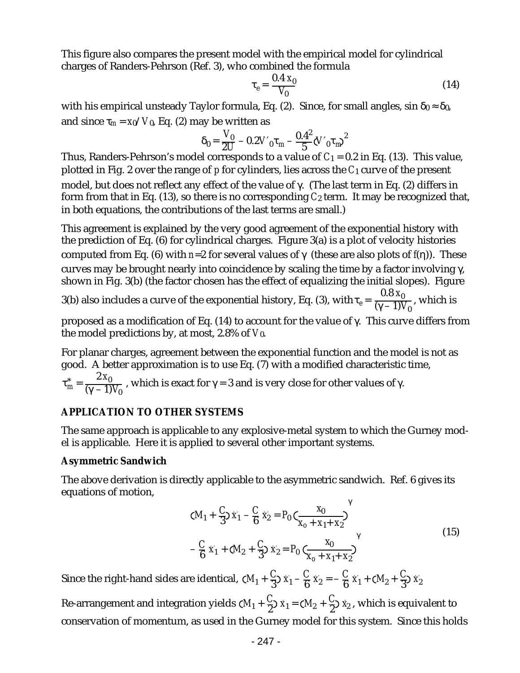This figure also compares the present model with the empirical model for cylindrical charges of Randers-Pehrson (Ref. 3), who combined the formula

$$
\tau_e = \frac{0.4 \, x_0}{V_0} \tag{14}
$$

with his empirical unsteady Taylor formula, Eq. (2). Since, for small angles,  $\sin \delta_0 \approx \delta_0$ , and since  $\tau_m = x_0/V_0$ , Eq. (2) may be written as

$$
\delta_0 = \frac{V_0}{2U} - 0.2 V'_{0} \tau_{m} - \frac{0.4^2}{5} (V'_{0} \tau_{m})^2
$$

Thus, Randers-Pehrson's model corresponds to a value of  $C_1 = 0.2$  in Eq. (13). This value, plotted in Fig. 2 over the range of *p* for cylinders, lies across the *C*1 curve of the present model, but does not reflect any effect of the value of γ. (The last term in Eq. (2) differs in form from that in Eq.  $(13)$ , so there is no corresponding  $C_2$  term. It may be recognized that, in both equations, the contributions of the last terms are small.)

This agreement is explained by the very good agreement of the exponential history with the prediction of Eq. (6) for cylindrical charges. Figure 3(a) is a plot of velocity histories computed from Eq. (6) with *n*=2 for several values of γ (these are also plots of *f*(η)). These curves may be brought nearly into coincidence by scaling the time by a factor involving γ, shown in Fig. 3(b) (the factor chosen has the effect of equalizing the initial slopes). Figure

3(b) also includes a curve of the exponential history, Eq. (3), with  $\tau_e = \frac{0.8}{(\gamma - 1) \cdot 1}$  $\frac{0.00 \text{ H}_0}{(\gamma - 1) V_0}$ , which is

proposed as a modification of Eq. (14) to account for the value of γ. This curve differs from the model predictions by, at most, 2.8% of *V*0.

For planar charges, agreement between the exponential function and the model is not as good. A better approximation is to use Eq. (7) with a modified characteristic time, 2 *x*<sup>0</sup>

$$
\tau_m^* = \frac{2A_0}{(\gamma - 1)V_0}
$$
, which is exact for  $\gamma = 3$  and is very close for other values of  $\gamma$ .

# **APPLICATION TO OTHER SYSTEMS**

The same approach is applicable to any explosive-metal system to which the Gurney model is applicable. Here it is applied to several other important systems.

# **Asymmetric Sandwich**

The above derivation is directly applicable to the asymmetric sandwich. Ref. 6 gives its equations of motion,

$$
(M_1 + \frac{C}{3}) \dot{x}_1 - \frac{C}{6} \dot{x}_2 = P_0 \left( \frac{x_0}{x_0 + x_1 + x_2} \right)^{\gamma}
$$
  
-  $\frac{C}{6} \dot{x}_1 + (M_2 + \frac{C}{3}) \dot{x}_2 = P_0 \left( \frac{x_0}{x_0 + x_1 + x_2} \right)^{\gamma}$  (15)

Since the right-hand sides are identical,  $\zeta M_{1} + \frac{C}{3}$  $\frac{C}{3}$ <sup>x<sub>1</sub> –  $\frac{C}{6}$ </sup>  $\frac{C}{6}x_2 = -\frac{C}{6}$  $\frac{C}{6}x_1 + CM_2 + \frac{C}{3}$  $\frac{1}{3}$  $\frac{1}{x_2}$ 

Re-arrangement and integration yields ( $M_1 + \frac{C}{2}$  $\frac{C}{2}$   $x_1 = (M_2 + \frac{C}{2})$  $\frac{C}{2}$ )  $\dot{x}_2$ , which is equivalent to conservation of momentum, as used in the Gurney model for this system. Since this holds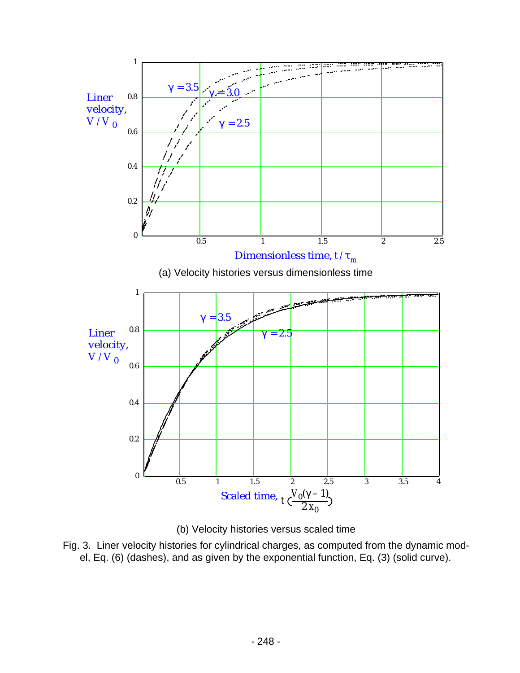



Fig. 3. Liner velocity histories for cylindrical charges, as computed from the dynamic model, Eq. (6) (dashes), and as given by the exponential function, Eq. (3) (solid curve).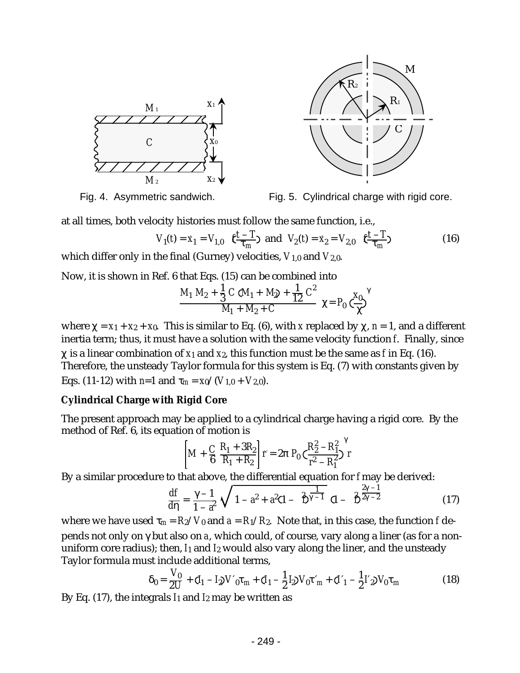



Fig. 4. Asymmetric sandwich. Fig. 5. Cylindrical charge with rigid core.

at all times, both velocity histories must follow the same function, i.e.,

$$
V_1(t) = \dot{x}_1 = V_{1,0} \quad \mathbf{C} \frac{t - T}{\tau_m} \quad \text{and} \quad V_2(t) = \dot{x}_2 = V_{2,0} \quad \mathbf{C} \frac{t - T}{\tau_m} \tag{16}
$$

which differ only in the final (Gurney) velocities, *V*1,0 and *V*2,0.

Now, it is shown in Ref. 6 that Eqs. (15) can be combined into

$$
\frac{M_1 M_2 + \frac{1}{3} C (M_1 + M_2 + \frac{1}{12} C^2)}{M_1 + M_2 + C} \chi = P_0 \left(\frac{x_0}{\chi}\right)^{\gamma}
$$

where  $\chi = x_1 + x_2 + x_0$ . This is similar to Eq. (6), with *x* replaced by  $\chi$ , *n* = 1, and a different inertia term; thus, it must have a solution with the same velocity function *f*. Finally, since  $\gamma$  is a linear combination of  $x_1$  and  $x_2$ , this function must be the same as *f* in Eq. (16). Therefore, the unsteady Taylor formula for this system is Eq. (7) with constants given by Eqs. (11-12) with *n*=1 and  $\tau_m = x_0/(V_{1,0} + V_{2,0})$ .

# **Cylindrical Charge with Rigid Core**

The present approach may be applied to a cylindrical charge having a rigid core. By the method of Ref. 6, its equation of motion is

$$
\left[ M + \frac{C}{6} \frac{R_1 + 3R_2}{R_1 + R_2} \right] \dot{r} = 2\pi \ P_0 \left( \frac{R_2^2 - R_1^2}{r^2 - R_1^2} \right)^{\gamma} r
$$

By a similar procedure to that above, the differential equation for *f* may be derived:

$$
\frac{df}{d\eta} = \frac{\gamma - 1}{1 - \vec{a}^2} \sqrt{1 - a^2 + a^2} \sqrt{1 - \frac{2\gamma - 1}{1 - \gamma^2}} \sqrt{1 - \frac{2\gamma - 1}{1 - \gamma^2}} \tag{17}
$$

where we have used  $\tau_m = R_2/V_0$  and  $a = R_1/R_2$ . Note that, in this case, the function *f* depends not only on γ but also on *a*, which could, of course, vary along a liner (as for a nonuniform core radius); then, *I*1 and *I*2 would also vary along the liner, and the unsteady Taylor formula must include additional terms,

$$
\delta_0 = \frac{V_0}{2U} + (I_1 - I_2)V'_0\tau_m + (I_1 - \frac{1}{2}I_2)V_0\tau'_m + (I'_1 - \frac{1}{2}I'_2)V_0\tau_m
$$
\n(18)

By Eq.  $(17)$ , the integrals  $I_1$  and  $I_2$  may be written as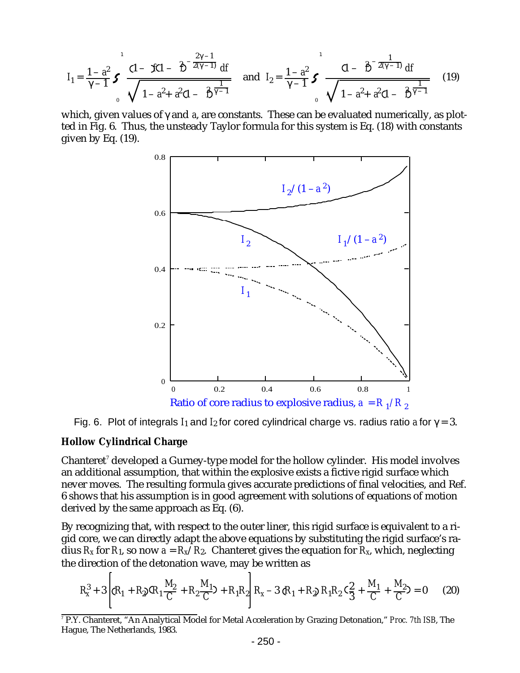$$
I_1 = \frac{1 - a^2}{\gamma - 1} \boldsymbol{S} \underbrace{\frac{(1 - \boldsymbol{K} (1 - \boldsymbol{S})^{-\frac{2\gamma - 1}{2(\gamma - 1)}} d\boldsymbol{f}}{\sqrt{1 - a^2 + a^2} (1 - \boldsymbol{S})^{\frac{1}{\gamma - 1}}}} \text{ and } I_2 = \frac{1 - a^2}{\gamma - 1} \boldsymbol{S} \underbrace{\frac{(1 - \boldsymbol{S})^{-\frac{1}{2(\gamma - 1)}} d\boldsymbol{f}}{\sqrt{1 - a^2 + a^2} (1 - \boldsymbol{S})^{\frac{1}{\gamma - 1}}}} \tag{19}
$$

which, given values of γ and *a*, are constants. These can be evaluated numerically, as plotted in Fig. 6. Thus, the unsteady Taylor formula for this system is Eq. (18) with constants given by Eq. (19).



Fig. 6. Plot of integrals  $I_1$  and  $I_2$  for cored cylindrical charge vs. radius ratio *a* for  $\gamma = 3$ .

#### **Hollow Cylindrical Charge**

Chanteret $^{\prime}$  developed a Gurney-type model for the hollow cylinder. His model involves an additional assumption, that within the explosive exists a fictive rigid surface which never moves. The resulting formula gives accurate predictions of final velocities, and Ref. 6 shows that his assumption is in good agreement with solutions of equations of motion derived by the same approach as Eq. (6).

By recognizing that, with respect to the outer liner, this rigid surface is equivalent to a rigid core, we can directly adapt the above equations by substituting the rigid surface's radius  $R_X$  for  $R_1$ , so now  $a = R_X/R_2$ . Chanteret gives the equation for  $R_X$ , which, neglecting the direction of the detonation wave, may be written as

$$
R_{x}^{3} + 3\left[ (R_{1} + R_{2}) (R_{1} \frac{M_{2}}{C} + R_{2} \frac{M_{1}}{C}) + R_{1} R_{2} \right] R_{x} - 3 (R_{1} + R_{2}) R_{1} R_{2} (S_{3}^{2} + \frac{M_{1}}{C} + \frac{M_{2}}{C}) = 0 \tag{20}
$$

<sup>7</sup> P.Y. Chanteret, "An Analytical Model for Metal Acceleration by Grazing Detonation," *Proc. 7th ISB*, The Hague, The Netherlands, 1983.